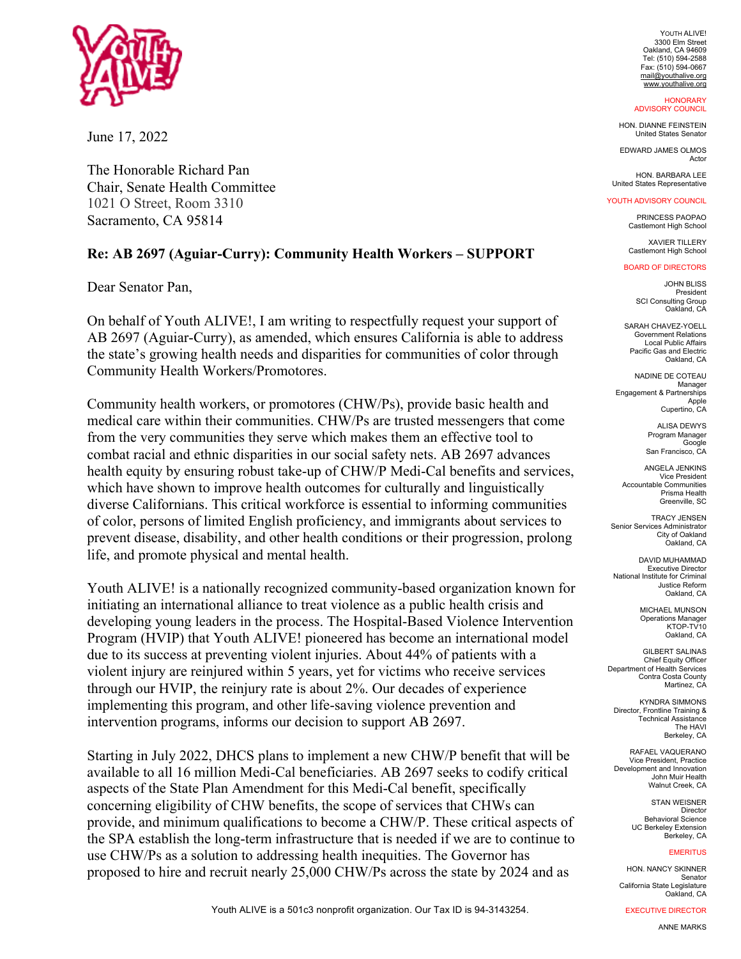

June 17, 2022

The Honorable Richard Pan Chair, Senate Health Committee 1021 O Street, Room 3310 Sacramento, CA 95814

## **Re: AB 2697 (Aguiar-Curry): Community Health Workers – SUPPORT**

Dear Senator Pan,

On behalf of Youth ALIVE!, I am writing to respectfully request your support of AB 2697 (Aguiar-Curry), as amended, which ensures California is able to address the state's growing health needs and disparities for communities of color through Community Health Workers/Promotores.

Community health workers, or promotores (CHW/Ps), provide basic health and medical care within their communities. CHW/Ps are trusted messengers that come from the very communities they serve which makes them an effective tool to combat racial and ethnic disparities in our social safety nets. AB 2697 advances health equity by ensuring robust take-up of CHW/P Medi-Cal benefits and services, which have shown to improve health outcomes for culturally and linguistically diverse Californians. This critical workforce is essential to informing communities of color, persons of limited English proficiency, and immigrants about services to prevent disease, disability, and other health conditions or their progression, prolong life, and promote physical and mental health.

Youth ALIVE! is a nationally recognized community-based organization known for initiating an international alliance to treat violence as a public health crisis and developing young leaders in the process. The Hospital-Based Violence Intervention Program (HVIP) that Youth ALIVE! pioneered has become an international model due to its success at preventing violent injuries. About 44% of patients with a violent injury are reinjured within 5 years, yet for victims who receive services through our HVIP, the reinjury rate is about 2%. Our decades of experience implementing this program, and other life-saving violence prevention and intervention programs, informs our decision to support AB 2697.

Starting in July 2022, DHCS plans to implement a new CHW/P benefit that will be available to all 16 million Medi-Cal beneficiaries. AB 2697 seeks to codify critical aspects of the State Plan Amendment for this Medi-Cal benefit, specifically concerning eligibility of CHW benefits, the scope of services that CHWs can provide, and minimum qualifications to become a CHW/P. These critical aspects of the SPA establish the long-term infrastructure that is needed if we are to continue to use CHW/Ps as a solution to addressing health inequities. The Governor has proposed to hire and recruit nearly 25,000 CHW/Ps across the state by 2024 and as

YOUTH ALIVE! 3300 Elm Street Oakland, CA 94609 Tel: (510) 594-2588 Fax: (510) 594-0667 mail@youthalive.org www.youthalive.org

**HONORARY** ADVISORY COUNCIL

HON. DIANNE FEINSTEIN United States Senator

EDWARD JAMES OLMOS Actor

HON. BARBARA LEE United States Representative

## YOUTH ADVISORY COUNCIL

PRINCESS PAOPAO Castlemont High School

XAVIER TILLERY Castlemont High School

## BOARD OF DIRECTORS

JOHN BLISS President SCI Consulting Group Oakland, CA

SARAH CHAVEZ-YOELL Government Relations Local Public Affairs Pacific Gas and Electric Oakland, CA

NADINE DE COTEAU Manager Engagement & Partnerships Apple Cupertino, CA

> ALISA DEWYS Program Manager Google San Francisco, CA

ANGELA JENKINS Vice President Accountable Communities Prisma Health Greenville, SC

TRACY JENSEN Senior Services Administrator City of Oakland Oakland, CA

DAVID MUHAMMAD **Executive Director** National Institute for Criminal Justice Reform Oakland, CA

> MICHAEL MUNSON **Operations Manager** KTOP-TV10 Oakland, CA

GILBERT SALINAS Chief Equity Officer Department of Health Services Contra Costa County Martinez, CA

KYNDRA SIMMONS Director, Frontline Training & Technical Assistance The HAVI Berkeley, CA

RAFAEL VAQUERANO Vice President, Practice Development and Innovation John Muir Health Walnut Creek, CA

> STAN WEISNER Director Behavioral Science UC Berkeley Extension Berkeley, CA

## **EMERITUS**

HON. NANCY SKINNER Senator California State Legislature Oakland, CA

EXECUTIVE DIRECTOR